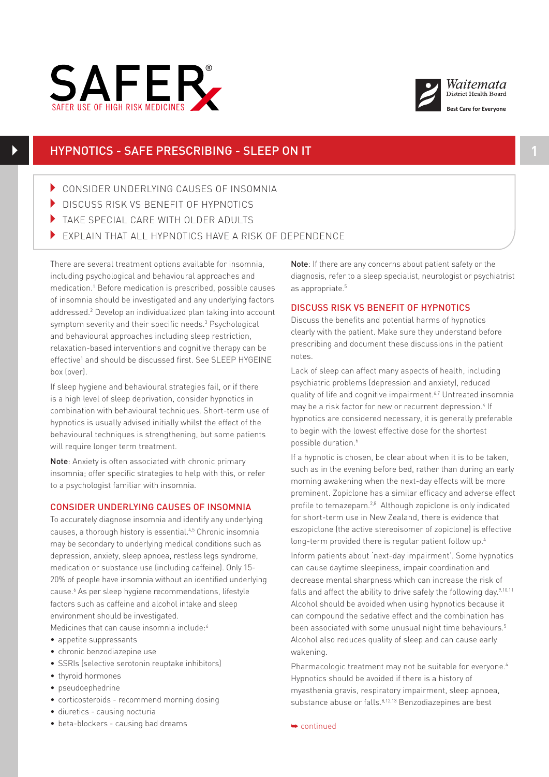



## HYPNOTICS - SAFE PRESCRIBING - SLEEP ON IT **1**

- 4 CONSIDER UNDERLYING CAUSES OF INSOMNIA
- DISCUSS RISK VS BENEFIT OF HYPNOTICS
- In take special care with older adults
	- EXPLAIN THAT ALL HYPNOTICS HAVE A RISK OF DEPENDENCE

There are several treatment options available for insomnia, including psychological and behavioural approaches and medication.1 Before medication is prescribed, possible causes of insomnia should be investigated and any underlying factors addressed.2 Develop an individualized plan taking into account symptom severity and their specific needs.3 Psychological and behavioural approaches including sleep restriction, relaxation-based interventions and cognitive therapy can be effective<sup>1</sup> and should be discussed first. See SLEEP HYGEINE box (over).<br>box (over).

If sleep hygiene and behavioural strategies fail, or if there is a high level of sleep deprivation, consider hypnotics in combination with behavioural techniques. Short-term use of hypnotics is usually advised initially whilst the effect of the behavioural techniques is strengthening, but some patients will require longer term treatment.

Note: Anxiety is often associated with chronic primary insomnia; offer specific strategies to help with this, or refer to a psychologist familiar with insomnia.

#### CONSIDER UNDERLYING CAUSES OF INSOMNIA

To accurately diagnose insomnia and identify any underlying causes, a thorough history is essential.4,5 Chronic insomnia may be secondary to underlying medical conditions such as depression, anxiety, sleep apnoea, restless legs syndrome, medication or substance use (including caffeine). Only 15- 20% of people have insomnia without an identified underlying cause.<sup>6</sup> As per sleep hygiene recommendations, lifestyle factors such as caffeine and alcohol intake and sleep environment should be investigated. Medicines that can cause insomnia include:<sup>6</sup>

- appetite suppressants
- chronic benzodiazepine use
- SSRIs (selective serotonin reuptake inhibitors)
- thyroid hormones
- pseudoephedrine
- corticosteroids recommend morning dosing
- diuretics causing nocturia
- beta-blockers causing bad dreams

Note: If there are any concerns about patient safety or the diagnosis, refer to a sleep specialist, neurologist or psychiatrist as appropriate.<sup>5</sup>

#### DISCUSS RISK VS BENEFIT OF HYPNOTICS

Discuss the benefits and potential harms of hypnotics clearly with the patient. Make sure they understand before prescribing and document these discussions in the patient notes.

Lack of sleep can affect many aspects of health, including psychiatric problems (depression and anxiety), reduced quality of life and cognitive impairment.<sup>6,7</sup> Untreated insomnia may be a risk factor for new or recurrent depression.<sup>4</sup> If hypnotics are considered necessary, it is generally preferable to begin with the lowest effective dose for the shortest possible duration.<sup>6</sup>

If a hypnotic is chosen, be clear about when it is to be taken, such as in the evening before bed, rather than during an early morning awakening when the next-day effects will be more prominent. Zopiclone has a similar efficacy and adverse effect profile to temazepam.2,8 Although zopiclone is only indicated for short-term use in New Zealand, there is evidence that eszopiclone (the active stereoisomer of zopiclone) is effective long-term provided there is regular patient follow up.<sup>4</sup>

Inform patients about 'next-day impairment'. Some hypnotics can cause daytime sleepiness, impair coordination and decrease mental sharpness which can increase the risk of falls and affect the ability to drive safely the following day.<sup>9,10,11</sup> Alcohol should be avoided when using hypnotics because it can compound the sedative effect and the combination has been associated with some unusual night time behaviours.<sup>5</sup> Alcohol also reduces quality of sleep and can cause early wakening.

Pharmacologic treatment may not be suitable for everyone.<sup>4</sup> Hypnotics should be avoided if there is a history of myasthenia gravis, respiratory impairment, sleep apnoea, substance abuse or falls.<sup>8,12,13</sup> Benzodiazepines are best

➥ continued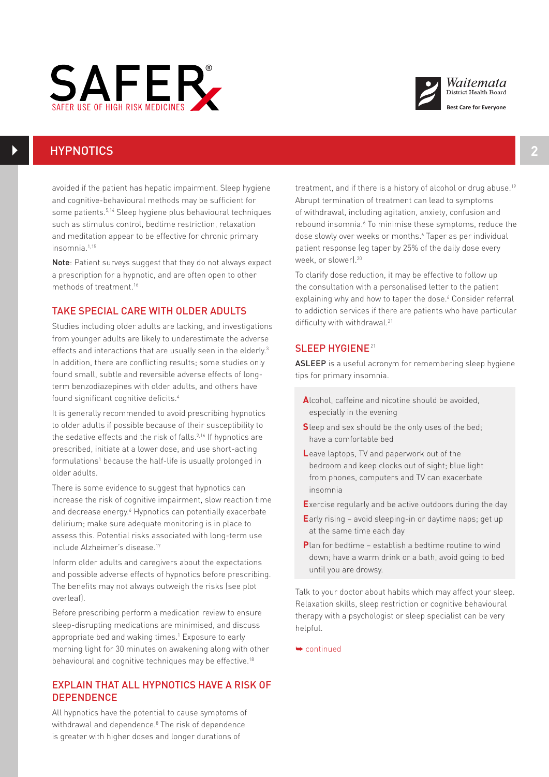



# HYPNOTICS **2**

insomnia.1,15

avoided if the patient has hepatic impairment. Sleep hygiene and cognitive-behavioural methods may be sufficient for some patients.5,14 Sleep hygiene plus behavioural techniques such as stimulus control, bedtime restriction, relaxation and meditation appear to be effective for chronic primary

Note: Patient surveys suggest that they do not always expect a prescription for a hypnotic, and are often open to other methods of treatment.16

#### TAKE SPECIAL CARE WITH OLDER ADULTS

Studies including older adults are lacking, and investigations from younger adults are likely to underestimate the adverse effects and interactions that are usually seen in the elderly.<sup>3</sup> In addition, there are conflicting results; some studies only found small, subtle and reversible adverse effects of longterm benzodiazepines with older adults, and others have found significant cognitive deficits.4

It is generally recommended to avoid prescribing hypnotics to older adults if possible because of their susceptibility to the sedative effects and the risk of falls.<sup>2,16</sup> If hypnotics are prescribed, initiate at a lower dose, and use short-acting formulations<sup>1</sup> because the half-life is usually prolonged in older adults.

There is some evidence to suggest that hypnotics can increase the risk of cognitive impairment, slow reaction time and decrease energy.<sup>6</sup> Hypnotics can potentially exacerbate delirium; make sure adequate monitoring is in place to assess this. Potential risks associated with long-term use include Alzheimer's disease.17

Inform older adults and caregivers about the expectations and possible adverse effects of hypnotics before prescribing. The benefits may not always outweigh the risks (see plot overleaf).

Before prescribing perform a medication review to ensure sleep-disrupting medications are minimised, and discuss appropriate bed and waking times.<sup>1</sup> Exposure to early morning light for 30 minutes on awakening along with other behavioural and cognitive techniques may be effective.<sup>18</sup>

## EXPLAIN THAT ALL HYPNOTICS HAVE A RISK OF **DEPENDENCE**

All hypnotics have the potential to cause symptoms of withdrawal and dependence.<sup>8</sup> The risk of dependence is greater with higher doses and longer durations of

treatment, and if there is a history of alcohol or drug abuse.<sup>19</sup> Abrupt termination of treatment can lead to symptoms of withdrawal, including agitation, anxiety, confusion and rebound insomnia.<sup>6</sup> To minimise these symptoms, reduce the dose slowly over weeks or months.<sup>6</sup> Taper as per individual patient response (eg taper by 25% of the daily dose every week, or slower).20

To clarify dose reduction, it may be effective to follow up the consultation with a personalised letter to the patient explaining why and how to taper the dose.<sup>6</sup> Consider referral to addiction services if there are patients who have particular difficulty with withdrawal.<sup>21</sup>

## SLEEP HYGIENE<sup>21</sup>

ASLEEP is a useful acronym for remembering sleep hygiene tips for primary insomnia.

- **A**lcohol, caffeine and nicotine should be avoided, especially in the evening
- **S**leep and sex should be the only uses of the bed; have a comfortable bed
- **L**eave laptops, TV and paperwork out of the bedroom and keep clocks out of sight; blue light from phones, computers and TV can exacerbate insomnia
- **E**xercise regularly and be active outdoors during the day
- **E**arly rising avoid sleeping-in or daytime naps; get up at the same time each day
- **P**lan for bedtime establish a bedtime routine to wind down; have a warm drink or a bath, avoid going to bed until you are drowsy.

Talk to your doctor about habits which may affect your sleep. Relaxation skills, sleep restriction or cognitive behavioural therapy with a psychologist or sleep specialist can be very helpful.

➥ continued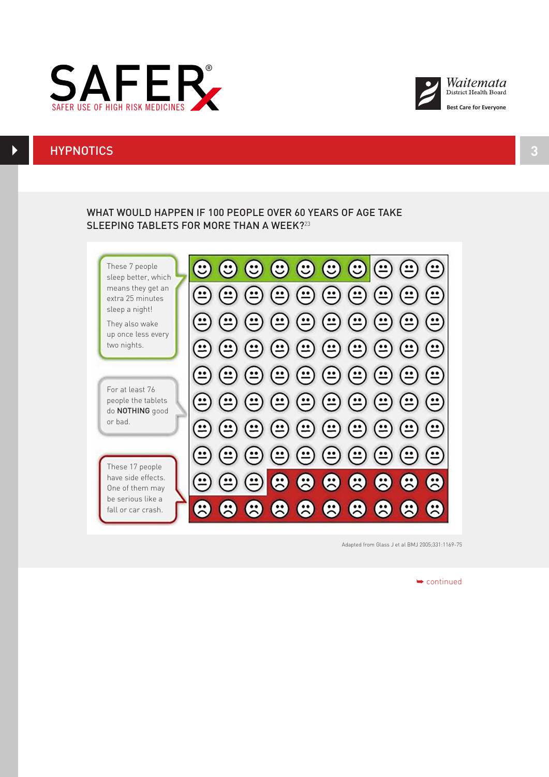



## HYPNOTICS **3**

 $\blacktriangleright$ 

## SLEEPING TABLETS FOR MORE THAN A WEEK?<sup>23</sup> WHAT WOULD HAPPEN IF 100 PEOPLE OVER 60 YEARS OF AGE TAKE

These 7 people sleep better, which means they get an extra 25 minutes sleep a night!

They also wake up once less every two nights.

For at least 76 people the tablets do NOTHING good or bad.

have side effects. One of them may be serious like a fall or car crash.



Adapted from Glass J et al BMJ 2005;331:1169-75

➥ continued